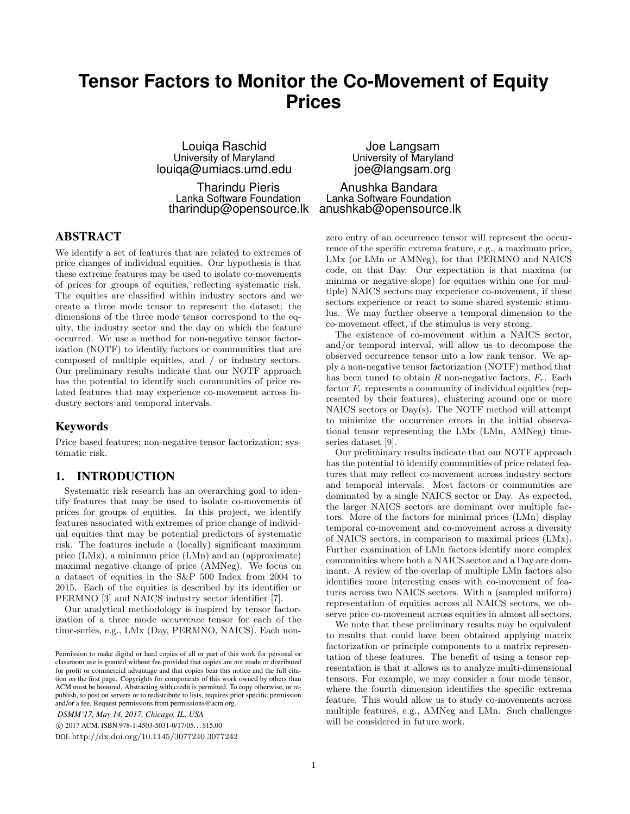# **Tensor Factors to Monitor the Co-Movement of Equity Prices**

Louiqa Raschid University of Maryland louiqa@umiacs.umd.edu

Tharindu Pieris Lanka Software Foundation tharindup@opensource.lk anushkab@opensource.lk

## ABSTRACT

We identify a set of features that are related to extremes of price changes of individual equities. Our hypothesis is that these extreme features may be used to isolate co-movements of prices for groups of equities, reflecting systematic risk. The equities are classified within industry sectors and we create a three mode tensor to represent the dataset; the dimensions of the three mode tensor correspond to the equity, the industry sector and the day on which the feature occurred. We use a method for non-negative tensor factorization (NOTF) to identify factors or communities that are composed of multiple equities, and / or industry sectors. Our preliminary results indicate that our NOTF approach has the potential to identify such communities of price related features that may experience co-movement across industry sectors and temporal intervals.

#### Keywords

Price based features; non-negative tensor factorization; systematic risk.

## 1. INTRODUCTION

Systematic risk research has an overarching goal to identify features that may be used to isolate co-movements of prices for groups of equities. In this project, we identify features associated with extremes of price change of individual equities that may be potential predictors of systematic risk. The features include a (locally) significant maximum price (LMx), a minimum price (LMn) and an (approximate) maximal negative change of price (AMNeg). We focus on a dataset of equities in the S&P 500 Index from 2004 to 2015. Each of the equities is described by its identifier or PERMNO [3] and NAICS industry sector identifier [7].

Our analytical methodology is inspired by tensor factorization of a three mode occurrence tensor for each of the time-series, e.g., LMx (Day, PERMNO, NAICS). Each non-

*DSMM'17, May 14, 2017, Chicago, IL, USA*

c 2017 ACM. ISBN 978-1-4503-5031-0/17/05. . . \$15.00

DOI: http://dx.doi.org/10.1145/3077240.3077242

Joe Langsam University of Maryland joe@langsam.org

Anushka Bandara Lanka Software Foundation

zero entry of an occurrence tensor will represent the occurrence of the specific extrema feature, e.g., a maximum price, LMx (or LMn or AMNeg), for that PERMNO and NAICS code, on that Day. Our expectation is that maxima (or minima or negative slope) for equities within one (or multiple) NAICS sectors may experience co-movement, if these sectors experience or react to some shared systemic stimulus. We may further observe a temporal dimension to the co-movement effect, if the stimulus is very strong.

The existence of co-movement within a NAICS sector, and/or temporal interval, will allow us to decompose the observed occurrence tensor into a low rank tensor. We apply a non-negative tensor factorization (NOTF) method that has been tuned to obtain  $R$  non-negative factors,  $F_r$ . Each factor  $F_r$  represents a community of individual equities (represented by their features), clustering around one or more NAICS sectors or Day(s). The NOTF method will attempt to minimize the occurrence errors in the initial observational tensor representing the LMx (LMn, AMNeg) timeseries dataset [9].

Our preliminary results indicate that our NOTF approach has the potential to identify communities of price related features that may reflect co-movement across industry sectors and temporal intervals. Most factors or communities are dominated by a single NAICS sector or Day. As expected, the larger NAICS sectors are dominant over multiple factors. More of the factors for minimal prices (LMn) display temporal co-movement and co-movement across a diversity of NAICS sectors, in comparison to maximal prices (LMx). Further examination of LMn factors identify more complex communities where both a NAICS sector and a Day are dominant. A review of the overlap of multiple LMn factors also identifies more interesting cases with co-movement of features across two NAICS sectors. With a (sampled uniform) representation of equities across all NAICS sectors, we observe price co-movement across equities in almost all sectors.

We note that these preliminary results may be equivalent to results that could have been obtained applying matrix factorization or principle components to a matrix representation of these features. The benefit of using a tensor representation is that it allows us to analyze multi-dimensional tensors. For example, we may consider a four mode tensor, where the fourth dimension identifies the specific extrema feature. This would allow us to study co-movements across multiple features, e.g., AMNeg and LMn. Such challenges will be considered in future work.

Permission to make digital or hard copies of all or part of this work for personal or classroom use is granted without fee provided that copies are not made or distributed for profit or commercial advantage and that copies bear this notice and the full citation on the first page. Copyrights for components of this work owned by others than ACM must be honored. Abstracting with credit is permitted. To copy otherwise, or republish, to post on servers or to redistribute to lists, requires prior specific permission and/or a fee. Request permissions from permissions@acm.org.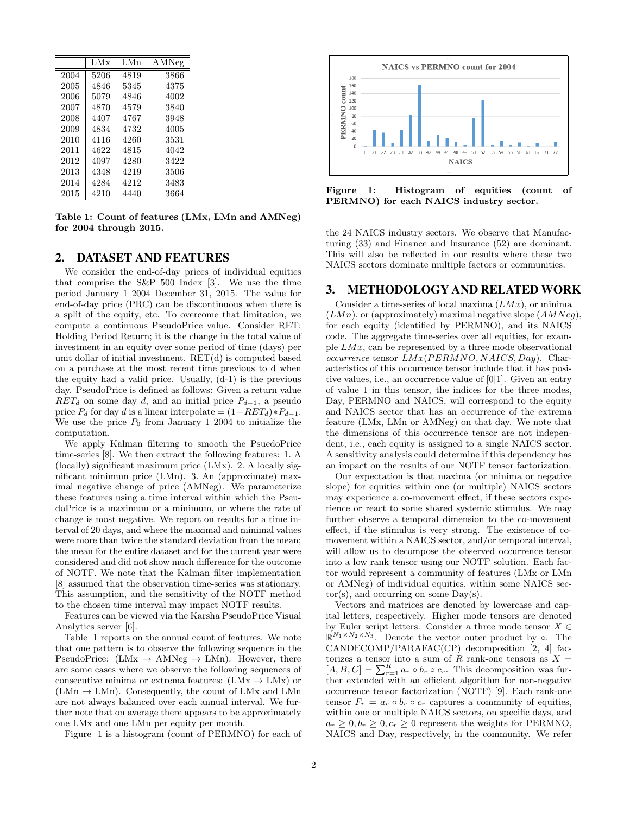|      | LMx  | LMn  | AMNeg |
|------|------|------|-------|
| 2004 | 5206 | 4819 | 3866  |
| 2005 | 4846 | 5345 | 4375  |
| 2006 | 5079 | 4846 | 4002  |
| 2007 | 4870 | 4579 | 3840  |
| 2008 | 4407 | 4767 | 3948  |
| 2009 | 4834 | 4732 | 4005  |
| 2010 | 4116 | 4260 | 3531  |
| 2011 | 4622 | 4815 | 4042  |
| 2012 | 4097 | 4280 | 3422  |
| 2013 | 4348 | 4219 | 3506  |
| 2014 | 4284 | 4212 | 3483  |
| 2015 | 4210 | 4440 | 3664  |

Table 1: Count of features (LMx, LMn and AMNeg) for 2004 through 2015.

### 2. DATASET AND FEATURES

We consider the end-of-day prices of individual equities that comprise the S&P 500 Index [3]. We use the time period January 1 2004 December 31, 2015. The value for end-of-day price (PRC) can be discontinuous when there is a split of the equity, etc. To overcome that limitation, we compute a continuous PseudoPrice value. Consider RET: Holding Period Return; it is the change in the total value of investment in an equity over some period of time (days) per unit dollar of initial investment. RET(d) is computed based on a purchase at the most recent time previous to d when the equity had a valid price. Usually, (d-1) is the previous day. PseudoPrice is defined as follows: Given a return value  $RET_d$  on some day d, and an initial price  $P_{d-1}$ , a pseudo price  $P_d$  for day d is a linear interpolate =  $(1+RET_d)*P_{d-1}$ . We use the price  $P_0$  from January 1 2004 to initialize the computation.

We apply Kalman filtering to smooth the PsuedoPrice time-series [8]. We then extract the following features: 1. A (locally) significant maximum price (LMx). 2. A locally significant minimum price (LMn). 3. An (approximate) maximal negative change of price (AMNeg). We parameterize these features using a time interval within which the PseudoPrice is a maximum or a minimum, or where the rate of change is most negative. We report on results for a time interval of 20 days, and where the maximal and minimal values were more than twice the standard deviation from the mean; the mean for the entire dataset and for the current year were considered and did not show much difference for the outcome of NOTF. We note that the Kalman filter implementation [8] assumed that the observation time-series was stationary. This assumption, and the sensitivity of the NOTF method to the chosen time interval may impact NOTF results.

Features can be viewed via the Karsha PseudoPrice Visual Analytics server [6].

Table 1 reports on the annual count of features. We note that one pattern is to observe the following sequence in the PseudoPrice:  $(LMx \rightarrow AMNeg \rightarrow LMn)$ . However, there are some cases where we observe the following sequences of consecutive minima or extrema features:  $(LMx \rightarrow LMx)$  or  $(LMn \rightarrow LMn)$ . Consequently, the count of LMx and LMn are not always balanced over each annual interval. We further note that on average there appears to be approximately one LMx and one LMn per equity per month.

Figure 1 is a histogram (count of PERMNO) for each of



Figure 1: Histogram of equities (count of PERMNO) for each NAICS industry sector.

the 24 NAICS industry sectors. We observe that Manufacturing (33) and Finance and Insurance (52) are dominant. This will also be reflected in our results where these two NAICS sectors dominate multiple factors or communities.

#### 3. METHODOLOGY AND RELATED WORK

Consider a time-series of local maxima  $(LMx)$ , or minima  $(LMn)$ , or (approximately) maximal negative slope  $(AMNeq)$ , for each equity (identified by PERMNO), and its NAICS code. The aggregate time-series over all equities, for example  $LMx$ , can be represented by a three mode observational occurrence tensor  $LMx(PERMNO, NAICS, Day)$ . Characteristics of this occurrence tensor include that it has positive values, i.e., an occurrence value of [0|1]. Given an entry of value 1 in this tensor, the indices for the three modes, Day, PERMNO and NAICS, will correspond to the equity and NAICS sector that has an occurrence of the extrema feature (LMx, LMn or AMNeg) on that day. We note that the dimensions of this occurrence tensor are not independent, i.e., each equity is assigned to a single NAICS sector. A sensitivity analysis could determine if this dependency has an impact on the results of our NOTF tensor factorization.

Our expectation is that maxima (or minima or negative slope) for equities within one (or multiple) NAICS sectors may experience a co-movement effect, if these sectors experience or react to some shared systemic stimulus. We may further observe a temporal dimension to the co-movement effect, if the stimulus is very strong. The existence of comovement within a NAICS sector, and/or temporal interval, will allow us to decompose the observed occurrence tensor into a low rank tensor using our NOTF solution. Each factor would represent a community of features (LMx or LMn or AMNeg) of individual equities, within some NAICS sec $tor(s)$ , and occurring on some  $Day(s)$ .

Vectors and matrices are denoted by lowercase and capital letters, respectively. Higher mode tensors are denoted by Euler script letters. Consider a three mode tensor  $X \in$  $\mathbb{R}^{N_1 \times N_2 \times N_3}$ . Denote the vector outer product by  $\circ$ . The CANDECOMP/PARAFAC(CP) decomposition [2, 4] factorizes a tensor into a sum of R rank-one tensors as  $X =$  $[A, B, C] = \sum_{r=1}^{R} a_r \circ b_r \circ c_r$ . This decomposition was further extended with an efficient algorithm for non-negative occurrence tensor factorization (NOTF) [9]. Each rank-one tensor  $F_r = a_r \circ b_r \circ c_r$  captures a community of equities, within one or multiple NAICS sectors, on specific days, and  $a_r \geq 0, b_r \geq 0, c_r \geq 0$  represent the weights for PERMNO, NAICS and Day, respectively, in the community. We refer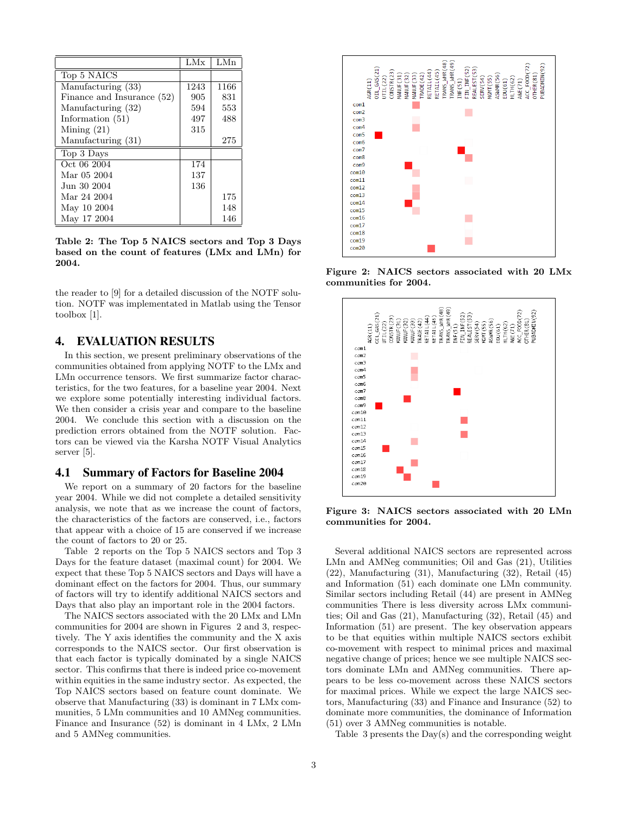|                            | LMx  | LMn  |
|----------------------------|------|------|
| Top 5 NAICS                |      |      |
| Manufacturing (33)         | 1243 | 1166 |
| Finance and Insurance (52) | 905  | 831  |
| Manufacturing (32)         | 594  | 553  |
| Information (51)           | 497  | 488  |
| Mining $(21)$              | 315  |      |
| Manufacturing (31)         |      | 275  |
| Top 3 Days                 |      |      |
| Oct 06 2004                | 174  |      |
| Mar 05 2004                | 137  |      |
| Jun 30 2004                | 136  |      |
| Mar 24 2004                |      | 175  |
| May 10 2004                |      | 148  |
| May 17 2004                |      | 146  |

Table 2: The Top 5 NAICS sectors and Top 3 Days based on the count of features (LMx and LMn) for 2004.

the reader to [9] for a detailed discussion of the NOTF solution. NOTF was implementated in Matlab using the Tensor toolbox [1].

## 4. EVALUATION RESULTS

In this section, we present preliminary observations of the communities obtained from applying NOTF to the LMx and LMn occurrence tensors. We first summarize factor characteristics, for the two features, for a baseline year 2004. Next we explore some potentially interesting individual factors. We then consider a crisis year and compare to the baseline 2004. We conclude this section with a discussion on the prediction errors obtained from the NOTF solution. Factors can be viewed via the Karsha NOTF Visual Analytics server [5].

## 4.1 Summary of Factors for Baseline 2004

We report on a summary of 20 factors for the baseline year 2004. While we did not complete a detailed sensitivity analysis, we note that as we increase the count of factors, the characteristics of the factors are conserved, i.e., factors that appear with a choice of 15 are conserved if we increase the count of factors to 20 or 25.

Table 2 reports on the Top 5 NAICS sectors and Top 3 Days for the feature dataset (maximal count) for 2004. We expect that these Top 5 NAICS sectors and Days will have a dominant effect on the factors for 2004. Thus, our summary of factors will try to identify additional NAICS sectors and Days that also play an important role in the 2004 factors.

The NAICS sectors associated with the 20 LMx and LMn communities for 2004 are shown in Figures 2 and 3, respectively. The Y axis identifies the community and the X axis corresponds to the NAICS sector. Our first observation is that each factor is typically dominated by a single NAICS sector. This confirms that there is indeed price co-movement within equities in the same industry sector. As expected, the Top NAICS sectors based on feature count dominate. We observe that Manufacturing (33) is dominant in 7 LMx communities, 5 LMn communities and 10 AMNeg communities. Finance and Insurance (52) is dominant in 4 LMx, 2 LMn and 5 AMNeg communities.



Figure 2: NAICS sectors associated with 20 LMx communities for 2004.



Figure 3: NAICS sectors associated with 20 LMn communities for 2004.

Several additional NAICS sectors are represented across LMn and AMNeg communities; Oil and Gas (21), Utilities (22), Manufacturing (31), Manufacturing (32), Retail (45) and Information (51) each dominate one LMn community. Similar sectors including Retail (44) are present in AMNeg communities There is less diversity across LMx communities; Oil and Gas (21), Manufacturing (32), Retail (45) and Information (51) are present. The key observation appears to be that equities within multiple NAICS sectors exhibit co-movement with respect to minimal prices and maximal negative change of prices; hence we see multiple NAICS sectors dominate LMn and AMNeg communities. There appears to be less co-movement across these NAICS sectors for maximal prices. While we expect the large NAICS sectors, Manufacturing (33) and Finance and Insurance (52) to dominate more communities, the dominance of Information (51) over 3 AMNeg communities is notable.

Table 3 presents the Day(s) and the corresponding weight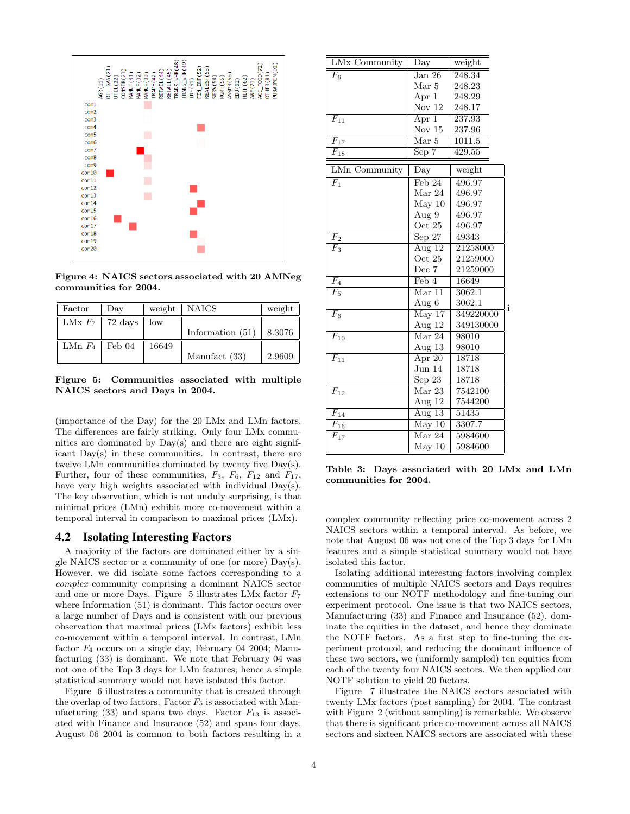

Figure 4: NAICS sectors associated with 20 AMNeg communities for 2004.

| Factor              | Day | weight | ∣ NAICS            | weight |
|---------------------|-----|--------|--------------------|--------|
| LMx $F_7$   72 days |     | low    |                    |        |
|                     |     |        | Information $(51)$ | 8.3076 |
| LMn $F_4$   Feb 04  |     | 16649  |                    |        |
|                     |     |        | Manufact (33)      | 2.9609 |

Figure 5: Communities associated with multiple NAICS sectors and Days in 2004.

(importance of the Day) for the 20 LMx and LMn factors. The differences are fairly striking. Only four LMx communities are dominated by Day(s) and there are eight significant Day(s) in these communities. In contrast, there are twelve LMn communities dominated by twenty five Day(s). Further, four of these communities,  $F_3$ ,  $F_6$ ,  $F_{12}$  and  $F_{17}$ , have very high weights associated with individual  $Day(s)$ . The key observation, which is not unduly surprising, is that minimal prices (LMn) exhibit more co-movement within a temporal interval in comparison to maximal prices (LMx).

#### 4.2 Isolating Interesting Factors

A majority of the factors are dominated either by a single NAICS sector or a community of one (or more) Day(s). However, we did isolate some factors corresponding to a complex community comprising a dominant NAICS sector and one or more Days. Figure 5 illustrates LMx factor  $F_7$ where Information (51) is dominant. This factor occurs over a large number of Days and is consistent with our previous observation that maximal prices (LMx factors) exhibit less co-movement within a temporal interval. In contrast, LMn factor  $F_4$  occurs on a single day, February 04 2004; Manufacturing (33) is dominant. We note that February 04 was not one of the Top 3 days for LMn features; hence a simple statistical summary would not have isolated this factor.

Figure 6 illustrates a community that is created through the overlap of two factors. Factor  $F_5$  is associated with Manufacturing  $(33)$  and spans two days. Factor  $F_{13}$  is associated with Finance and Insurance (52) and spans four days. August 06 2004 is common to both factors resulting in a

| LMx Community        | $\rm\overline{Day}$         | weight             |
|----------------------|-----------------------------|--------------------|
| $\overline{F_6}$     | Jan 26                      | $\frac{248.34}{2}$ |
|                      | Mar 5                       | 248.23             |
|                      | Apr 1                       | 248.29             |
|                      | Nov $12$                    | 248.17             |
| $\overline{F_{11}}$  | $\overline{\rm Apr\ 1}$     | 237.93             |
|                      | Nov $15$                    | 237.96             |
| $\overline{F_{17}}$  | Mar 5                       | 1011.5             |
| $F_{18}$             | Sep 7                       | 429.55             |
| <b>LMn Community</b> | Day                         | weight             |
| $\overline{F_1}$     | $\overline{\text{Feb}}$ 24  | 496.97             |
|                      | Mar 24                      | 496.97             |
|                      | May 10                      | 496.97             |
|                      | Aug 9                       | 496.97             |
|                      | Oct 25                      | 496.97             |
| F <sub>2</sub>       | $Sep\ 27$                   | 49343              |
| $\overline{F_3}$     | Aug $12$                    | 21258000           |
|                      | Oct 25                      | 21259000           |
|                      | Dec $7\,$                   | 21259000           |
| $\overline{F_4}$     | $\overline{\text{Feb}}$ 4   | 16649              |
| $\overline{F_5}$     | $\overline{\text{Mar }11}$  | 3062.1             |
|                      | Aug $6$                     | 3062.1             |
| $\overline{F_6}$     | $\overline{\text{May }17}$  | 349220000          |
|                      | Aug 12                      | 349130000          |
| $\overline{F_{10}}$  | $\overline{\text{Mar } 24}$ | 98010              |
|                      | Aug 13                      | 98010              |
| $\overline{F_{11}}$  | Apr 20                      | 18718              |
|                      | Jun 14                      | 18718              |
|                      | Sep 23                      | 18718              |
| $\overline{F_{12}}$  | Mar 23                      | 7542100            |
|                      | Aug 12                      | 7544200            |
| $\overline{F_{14}}$  | Aug $13$                    | 51435              |
| $\overline{F_{16}}$  | $\overline{\text{May }10}$  | 3307.7             |
| $\overline{F_{17}}$  | $\overline{\text{Mar } 24}$ | 5984600            |
|                      | May 10                      | 5984600            |

Table 3: Days associated with 20 LMx and LMn communities for 2004.

i

complex community reflecting price co-movement across 2 NAICS sectors within a temporal interval. As before, we note that August 06 was not one of the Top 3 days for LMn features and a simple statistical summary would not have isolated this factor.

Isolating additional interesting factors involving complex communities of multiple NAICS sectors and Days requires extensions to our NOTF methodology and fine-tuning our experiment protocol. One issue is that two NAICS sectors, Manufacturing (33) and Finance and Insurance (52), dominate the equities in the dataset, and hence they dominate the NOTF factors. As a first step to fine-tuning the experiment protocol, and reducing the dominant influence of these two sectors, we (uniformly sampled) ten equities from each of the twenty four NAICS sectors. We then applied our NOTF solution to yield 20 factors.

Figure 7 illustrates the NAICS sectors associated with twenty LMx factors (post sampling) for 2004. The contrast with Figure 2 (without sampling) is remarkable. We observe that there is significant price co-movement across all NAICS sectors and sixteen NAICS sectors are associated with these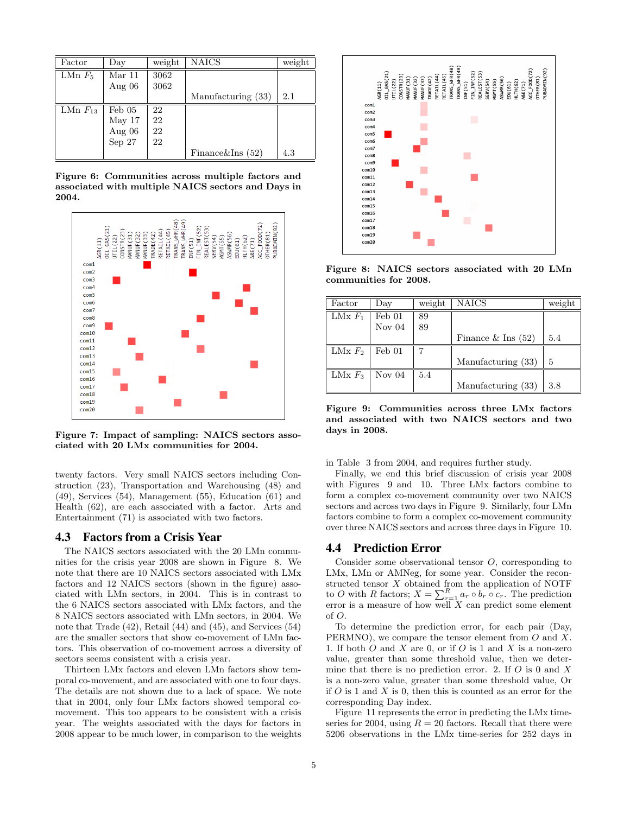| Factor       | $_{\rm Dav}$     | weight | <b>NAICS</b>         | weight |
|--------------|------------------|--------|----------------------|--------|
| LMn $F_5$    | Mar 11           | 3062   |                      |        |
|              | Aug $06$         | 3062   |                      |        |
|              |                  |        | Manufacturing (33)   | 2.1    |
| LMn $F_{13}$ | $\text{Feb } 05$ | 22     |                      |        |
|              | $\text{May }17$  | 22     |                      |        |
|              | Aug $06$         | 22     |                      |        |
|              | Sep 27           | 22     |                      |        |
|              |                  |        | Finance & Ins $(52)$ | 4.3    |

Figure 6: Communities across multiple factors and associated with multiple NAICS sectors and Days in 2004.



Figure 7: Impact of sampling: NAICS sectors associated with 20 LMx communities for 2004.

twenty factors. Very small NAICS sectors including Construction (23), Transportation and Warehousing (48) and (49), Services (54), Management (55), Education (61) and Health (62), are each associated with a factor. Arts and Entertainment (71) is associated with two factors.

#### 4.3 Factors from a Crisis Year

The NAICS sectors associated with the 20 LMn communities for the crisis year 2008 are shown in Figure 8. We note that there are 10 NAICS sectors associated with LMx factors and 12 NAICS sectors (shown in the figure) associated with LMn sectors, in 2004. This is in contrast to the 6 NAICS sectors associated with LMx factors, and the 8 NAICS sectors associated with LMn sectors, in 2004. We note that Trade (42), Retail (44) and (45), and Services (54) are the smaller sectors that show co-movement of LMn factors. This observation of co-movement across a diversity of sectors seems consistent with a crisis year.

Thirteen LMx factors and eleven LMn factors show temporal co-movement, and are associated with one to four days. The details are not shown due to a lack of space. We note that in 2004, only four LMx factors showed temporal comovement. This too appears to be consistent with a crisis year. The weights associated with the days for factors in 2008 appear to be much lower, in comparison to the weights



Figure 8: NAICS sectors associated with 20 LMn communities for 2008.

| Factor    | Day             | weight | NAICS                | weight |
|-----------|-----------------|--------|----------------------|--------|
| LMx $F_1$ | Feb 01          | 89     |                      |        |
|           | Nov $04$        | 89     |                      |        |
|           |                 |        | Finance $&$ Ins (52) | 5.4    |
| LMx $F_2$ | $\text{Feb }01$ |        |                      |        |
|           |                 |        | Manufacturing (33)   | 5      |
| LMx $F_3$ | Nov $04$        | 5.4    |                      |        |
|           |                 |        | Manufacturing (33)   | 3.8    |

Figure 9: Communities across three LMx factors and associated with two NAICS sectors and two days in 2008.

#### in Table 3 from 2004, and requires further study.

Finally, we end this brief discussion of crisis year 2008 with Figures 9 and 10. Three LMx factors combine to form a complex co-movement community over two NAICS sectors and across two days in Figure 9. Similarly, four LMn factors combine to form a complex co-movement community over three NAICS sectors and across three days in Figure 10.

## 4.4 Prediction Error

Consider some observational tensor O, corresponding to LMx, LMn or AMNeg, for some year. Consider the reconstructed tensor X obtained from the application of NOTF to O with R factors;  $X = \sum_{r=1}^{R} a_r \circ b_r \circ c_r$ . The prediction error is a measure of how well  $X$  can predict some element of O.

To determine the prediction error, for each pair (Day, PERMNO), we compare the tensor element from O and X. 1. If both  $O$  and  $X$  are 0, or if  $O$  is 1 and  $X$  is a non-zero value, greater than some threshold value, then we determine that there is no prediction error. 2. If  $O$  is 0 and  $X$ is a non-zero value, greater than some threshold value, Or if  $O$  is 1 and  $X$  is 0, then this is counted as an error for the corresponding Day index.

Figure 11 represents the error in predicting the LMx timeseries for 2004, using  $R = 20$  factors. Recall that there were 5206 observations in the LMx time-series for 252 days in